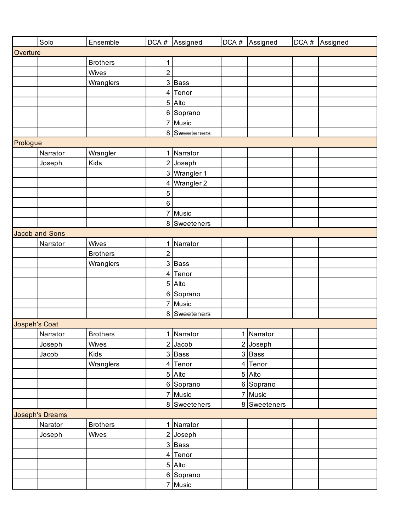|                      | Solo                   | Ensemble        |                | DCA # Assigned | DCA # Assigned | DCA # Assigned |
|----------------------|------------------------|-----------------|----------------|----------------|----------------|----------------|
| Overture             |                        |                 |                |                |                |                |
|                      |                        | <b>Brothers</b> | $\mathbf 1$    |                |                |                |
|                      |                        | Wives           | $\overline{2}$ |                |                |                |
|                      |                        | Wranglers       |                | 3 Bass         |                |                |
|                      |                        |                 |                | 4 Tenor        |                |                |
|                      |                        |                 |                | 5 Alto         |                |                |
|                      |                        |                 |                | 6 Soprano      |                |                |
|                      |                        |                 |                | 7 Music        |                |                |
|                      |                        |                 |                | 8 Sweeteners   |                |                |
| Prologue             |                        |                 |                |                |                |                |
|                      | Narrator               | Wrangler        |                | 1 Narrator     |                |                |
|                      | Joseph                 | Kids            |                | 2 Joseph       |                |                |
|                      |                        |                 |                | 3 Wrangler 1   |                |                |
|                      |                        |                 | 4              | Wrangler 2     |                |                |
|                      |                        |                 | 5              |                |                |                |
|                      |                        |                 | $6\phantom{.}$ |                |                |                |
|                      |                        |                 |                | 7 Music        |                |                |
|                      |                        |                 |                | 8 Sweeteners   |                |                |
|                      | Jacob and Sons         |                 |                |                |                |                |
|                      | Narrator               | Wives           |                | 1 Narrator     |                |                |
|                      |                        | <b>Brothers</b> | $\overline{2}$ |                |                |                |
|                      |                        | Wranglers       |                | 3 Bass         |                |                |
|                      |                        |                 |                | 4 Tenor        |                |                |
|                      |                        |                 |                | 5 Alto         |                |                |
|                      |                        |                 |                | 6 Soprano      |                |                |
|                      |                        |                 |                | 7 Music        |                |                |
|                      |                        |                 |                | 8 Sweeteners   |                |                |
| <b>Jospeh's Coat</b> |                        |                 |                |                |                |                |
|                      | Narrator               | <b>Brothers</b> |                | 1 Narrator     | 1 Narrator     |                |
|                      | Joseph                 | Wives           |                | $2$ Jacob      | 2 Joseph       |                |
|                      | Jacob                  | Kids            |                | 3 Bass         | 3Bass          |                |
|                      |                        | Wranglers       |                | 4 Tenor        | 4 Tenor        |                |
|                      |                        |                 |                | 5 Alto         | 5 Alto         |                |
|                      |                        |                 |                | 6 Soprano      | 6 Soprano      |                |
|                      |                        |                 |                | 7 Music        | 7 Music        |                |
|                      |                        |                 |                | 8 Sweeteners   | 8 Sweeteners   |                |
|                      | <b>Joseph's Dreams</b> |                 |                |                |                |                |
|                      | Narator                | <b>Brothers</b> |                | 1 Narrator     |                |                |
|                      | Joseph                 | Wives           |                | $2$ Joseph     |                |                |
|                      |                        |                 |                | 3 Bass         |                |                |
|                      |                        |                 |                | 4 Tenor        |                |                |
|                      |                        |                 |                | 5 Alto         |                |                |
|                      |                        |                 |                | 6 Soprano      |                |                |
|                      |                        |                 |                | 7 Music        |                |                |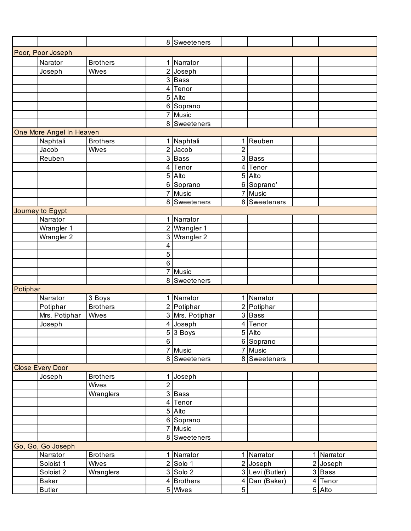|          |                          |                 |                | 8 Sweeteners          |                |                      |            |
|----------|--------------------------|-----------------|----------------|-----------------------|----------------|----------------------|------------|
|          | Poor, Poor Joseph        |                 |                |                       |                |                      |            |
|          | Narator                  | <b>Brothers</b> |                | Narrator              |                |                      |            |
|          | Joseph                   | Wives           |                | $\overline{2}$ Joseph |                |                      |            |
|          |                          |                 |                | 3 Bass                |                |                      |            |
|          |                          |                 |                | 4 Tenor               |                |                      |            |
|          |                          |                 |                | 5 Alto                |                |                      |            |
|          |                          |                 |                | 6 Soprano             |                |                      |            |
|          |                          |                 |                | 7 Music               |                |                      |            |
|          |                          |                 |                | 8 Sweeteners          |                |                      |            |
|          | One More Angel In Heaven |                 |                |                       |                |                      |            |
|          | Naphtali                 | <b>Brothers</b> |                | Naphtali              | 1.             | Reuben               |            |
|          | Jacob                    | Wives           |                | $2$ Jacob             | $\overline{2}$ |                      |            |
|          | Reuben                   |                 |                | 3 Bass                |                | 3 Bass               |            |
|          |                          |                 |                | 4 Tenor               |                | 4 Tenor              |            |
|          |                          |                 |                | $\overline{5 }$ Alto  |                | 5 Alto               |            |
|          |                          |                 |                | 6 Soprano             |                | 6 Soprano'           |            |
|          |                          |                 | $\overline{7}$ | Music                 |                | 7 Music              |            |
|          |                          |                 |                | 8 Sweeteners          |                | 8 Sweeteners         |            |
|          | Journey to Egypt         |                 |                |                       |                |                      |            |
|          | Narrator                 |                 |                | 1 Narrator            |                |                      |            |
|          | Wrangler 1               |                 |                | 2 Wrangler 1          |                |                      |            |
|          | Wrangler 2               |                 |                | 3 Wrangler 2          |                |                      |            |
|          |                          |                 | 4              |                       |                |                      |            |
|          |                          |                 | 5              |                       |                |                      |            |
|          |                          |                 | 6              |                       |                |                      |            |
|          |                          |                 | $\overline{7}$ | Music                 |                |                      |            |
|          |                          |                 |                | 8 Sweeteners          |                |                      |            |
| Potiphar |                          |                 |                |                       |                |                      |            |
|          | Narrator                 | 3 Boys          |                | 1 Narrator            |                | 1 Narrator           |            |
|          | Potiphar                 | <b>Brothers</b> |                | 2 Potiphar            |                | 2 Potiphar           |            |
|          | Mrs. Potiphar            | Wives           |                | 3 Mrs. Potiphar       |                | 3 Bass               |            |
|          | Joseph                   |                 |                | 4 Joseph              |                | 4 Tenor              |            |
|          |                          |                 |                | $53$ Boys             |                | $\overline{5 }$ Alto |            |
|          |                          |                 | 6              |                       |                | 6 Soprano            |            |
|          |                          |                 |                | Music                 |                | $\overline{7}$ Music |            |
|          |                          |                 |                | 8 Sweeteners          |                | 8 Sweeteners         |            |
|          | <b>Close Every Door</b>  |                 |                |                       |                |                      |            |
|          | Joseph                   | <b>Brothers</b> |                | 1 Joseph              |                |                      |            |
|          |                          | Wives           | $\overline{2}$ |                       |                |                      |            |
|          |                          | Wranglers       |                | 3 Bass                |                |                      |            |
|          |                          |                 |                | 4 Tenor               |                |                      |            |
|          |                          |                 |                | 5 Alto                |                |                      |            |
|          |                          |                 |                | 6 Soprano             |                |                      |            |
|          |                          |                 |                | 7 Music               |                |                      |            |
|          |                          |                 |                | 8 Sweeteners          |                |                      |            |
|          | Go, Go, Go Joseph        |                 |                |                       |                |                      |            |
|          | Narrator                 | <b>Brothers</b> |                | 1 Narrator            | 11             | Narrator             | 1 Narrator |
|          | Soloist 1                | Wives           |                | $2$ Solo 1            |                | $2$ Joseph           | 2 Joseph   |
|          | Soloist 2                | Wranglers       |                | $3$ Solo 2            |                | 3 Levi (Butler)      | 3 Bass     |
|          | <b>Baker</b>             |                 |                | 4 Brothers            | 4              | Dan (Baker)          | 4 Tenor    |
|          | <b>Butler</b>            |                 |                | 5 Wives               | 5              |                      | $5$ Alto   |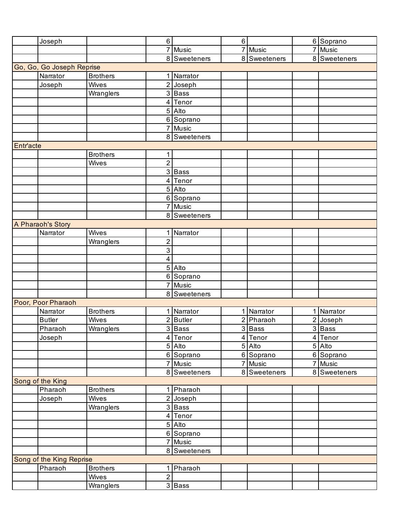|           | Joseph                    |                 | 6 <sup>1</sup> |                      | 6              |                     | 6 Soprano            |
|-----------|---------------------------|-----------------|----------------|----------------------|----------------|---------------------|----------------------|
|           |                           |                 |                | 7 Music              |                | 7 Music             | 7 Music              |
|           |                           |                 |                | 8 Sweeteners         |                | 8 Sweeteners        | 8 Sweeteners         |
|           | Go, Go, Go Joseph Reprise |                 |                |                      |                |                     |                      |
|           | Narrator                  | <b>Brothers</b> |                | 1 Narrator           |                |                     |                      |
|           | Joseph                    | Wives           | $\overline{2}$ | Joseph               |                |                     |                      |
|           |                           | Wranglers       |                | $\overline{3}$ Bass  |                |                     |                      |
|           |                           |                 |                | 4 Tenor              |                |                     |                      |
|           |                           |                 |                | 5 Alto               |                |                     |                      |
|           |                           |                 |                | 6 Soprano            |                |                     |                      |
|           |                           |                 |                | 7 Music              |                |                     |                      |
|           |                           |                 |                | 8 Sweeteners         |                |                     |                      |
| Entr'acte |                           |                 |                |                      |                |                     |                      |
|           |                           | <b>Brothers</b> | 1              |                      |                |                     |                      |
|           |                           | Wives           | $\overline{2}$ |                      |                |                     |                      |
|           |                           |                 |                | $\overline{3}$ Bass  |                |                     |                      |
|           |                           |                 |                | 4 Tenor              |                |                     |                      |
|           |                           |                 |                | 5 Alto               |                |                     |                      |
|           |                           |                 |                | 6 Soprano            |                |                     |                      |
|           |                           |                 | 7              | Music                |                |                     |                      |
|           |                           |                 |                | 8 Sweeteners         |                |                     |                      |
|           | A Pharaoh's Story         |                 |                |                      |                |                     |                      |
|           | Narrator                  | Wives           | 1              | Narrator             |                |                     |                      |
|           |                           | Wranglers       | 2              |                      |                |                     |                      |
|           |                           |                 | 3              |                      |                |                     |                      |
|           |                           |                 | $\overline{4}$ |                      |                |                     |                      |
|           |                           |                 |                | 5 Alto               |                |                     |                      |
|           |                           |                 |                | 6 Soprano            |                |                     |                      |
|           |                           |                 |                | 7 Music              |                |                     |                      |
|           |                           |                 |                | 8 Sweeteners         |                |                     |                      |
|           | Poor, Poor Pharaoh        |                 |                |                      |                |                     |                      |
|           | Narrator                  | <b>Brothers</b> |                | 1 Narrator           | 1              | Narrator            | 1 Narrator           |
|           | <b>Butler</b>             | Wives           |                | 2 Butler             |                | 2 Pharaoh           | 2 Joseph             |
|           | Pharaoh                   | Wranglers       |                | $3$ Bass<br>4 Tenor  |                | $3$ Bass<br>4 Tenor | $3$ Bass<br>4 Tenor  |
|           | Joseph                    |                 |                |                      |                |                     |                      |
|           |                           |                 |                | 5 Alto               |                | 5 Alto              | 5 Alto               |
|           |                           |                 |                | 6 Soprano<br>7 Music | $\overline{7}$ | 6 Soprano<br>Music  | 6 Soprano<br>7 Music |
|           |                           |                 |                | 8 Sweeteners         |                | 8 Sweeteners        | 8 Sweeteners         |
|           | Song of the King          |                 |                |                      |                |                     |                      |
|           | Pharaoh                   | <b>Brothers</b> |                | 1 Pharaoh            |                |                     |                      |
|           | Joseph                    | Wives           |                | 2 Joseph             |                |                     |                      |
|           |                           | Wranglers       |                | 3 Bass               |                |                     |                      |
|           |                           |                 |                | 4 Tenor              |                |                     |                      |
|           |                           |                 |                | 5 Alto               |                |                     |                      |
|           |                           |                 |                | 6 Soprano            |                |                     |                      |
|           |                           |                 |                | 7 Music              |                |                     |                      |
|           |                           |                 |                | 8 Sweeteners         |                |                     |                      |
|           | Song of the King Reprise  |                 |                |                      |                |                     |                      |
|           | Pharaoh                   | <b>Brothers</b> | 1              | Pharaoh              |                |                     |                      |
|           |                           | Wives           | $\overline{2}$ |                      |                |                     |                      |
|           |                           | Wranglers       |                | $3$ Bass             |                |                     |                      |
|           |                           |                 |                |                      |                |                     |                      |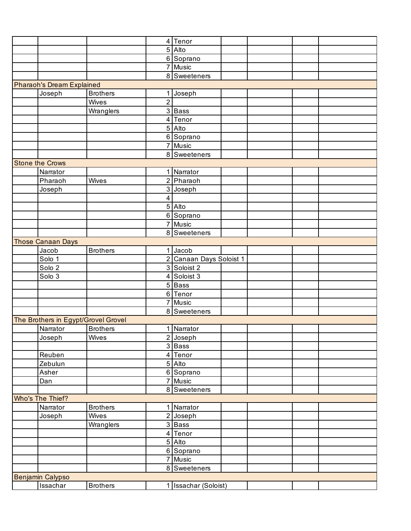|                                     |                 |                | 4 Tenor                 |  |  |
|-------------------------------------|-----------------|----------------|-------------------------|--|--|
|                                     |                 |                | 5 Alto                  |  |  |
|                                     |                 |                | 6 Soprano               |  |  |
|                                     |                 |                | 7 Music                 |  |  |
|                                     |                 |                | 8 Sweeteners            |  |  |
| <b>Pharaoh's Dream Explained</b>    |                 |                |                         |  |  |
| Joseph                              | <b>Brothers</b> |                | Joseph                  |  |  |
|                                     | Wives           | $\overline{2}$ |                         |  |  |
|                                     | Wranglers       |                | 3 Bass                  |  |  |
|                                     |                 |                | 4 Tenor                 |  |  |
|                                     |                 |                | 5 Alto                  |  |  |
|                                     |                 |                | 6 Soprano               |  |  |
|                                     |                 |                | 7 Music                 |  |  |
|                                     |                 |                | 8 Sweeteners            |  |  |
| <b>Stone the Crows</b>              |                 |                |                         |  |  |
| Narrator                            |                 |                | 1 Narrator              |  |  |
| Pharaoh                             | Wives           |                | 2 Pharaoh               |  |  |
|                                     |                 |                | 3 Joseph                |  |  |
| Joseph                              |                 | 4              |                         |  |  |
|                                     |                 |                | 5 Alto                  |  |  |
|                                     |                 |                |                         |  |  |
|                                     |                 |                | 6 Soprano               |  |  |
|                                     |                 |                | 7 Music                 |  |  |
|                                     |                 |                | 8 Sweeteners            |  |  |
| <b>Those Canaan Days</b>            |                 |                |                         |  |  |
| Jacob                               | <b>Brothers</b> |                | $1$ Jacob               |  |  |
| Solo 1                              |                 |                | 2 Canaan Days Soloist 1 |  |  |
| Solo 2                              |                 |                | 3 Soloist 2             |  |  |
| Solo 3                              |                 |                | 4 Soloist 3             |  |  |
|                                     |                 |                | 5 Bass                  |  |  |
|                                     |                 |                | 6 Tenor                 |  |  |
|                                     |                 | $\overline{7}$ | Music                   |  |  |
|                                     |                 |                | 8 Sweeteners            |  |  |
| The Brothers in Egypt/Grovel Grovel |                 |                |                         |  |  |
| Narrator                            | <b>Brothers</b> |                | 1 Narrator              |  |  |
| Joseph                              | Wives           |                | 2 Joseph                |  |  |
|                                     |                 |                | $\overline{3}$ Bass     |  |  |
| Reuben                              |                 |                | 4 Tenor                 |  |  |
| Zebulun                             |                 |                | 5 Alto                  |  |  |
| Asher                               |                 |                | 6 Soprano               |  |  |
| Dan                                 |                 |                | 7 Music                 |  |  |
|                                     |                 |                | 8 Sweeteners            |  |  |
| Who's The Thief?                    |                 |                |                         |  |  |
| Narrator                            | <b>Brothers</b> |                | 1 Narrator              |  |  |
| Joseph                              | Wives           |                | 2 Joseph                |  |  |
|                                     | Wranglers       |                | 3 Bass                  |  |  |
|                                     |                 |                | 4 Tenor                 |  |  |
|                                     |                 |                | 5 Alto                  |  |  |
|                                     |                 |                | 6 Soprano               |  |  |
|                                     |                 |                | 7 Music                 |  |  |
|                                     |                 |                | 8 Sweeteners            |  |  |
| Benjamin Calypso                    |                 |                |                         |  |  |
| Issachar                            | <b>Brothers</b> |                | 1 Issachar (Soloist)    |  |  |
|                                     |                 |                |                         |  |  |